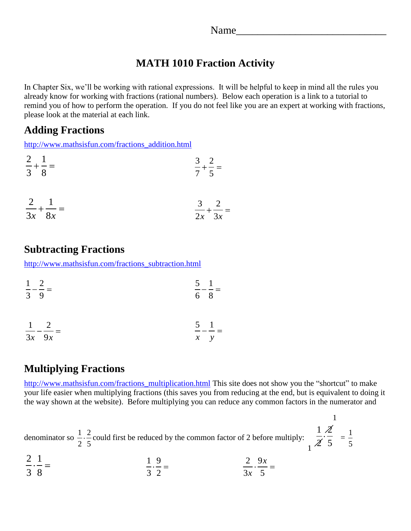## **MATH 1010 Fraction Activity**

In Chapter Six, we'll be working with rational expressions. It will be helpful to keep in mind all the rules you already know for working with fractions (rational numbers). Below each operation is a link to a tutorial to remind you of how to perform the operation. If you do not feel like you are an expert at working with fractions, please look at the material at each link.

## **Adding Fractions**

[http://www.mathsisfun.com/fractions\\_addition.html](http://www.mathsisfun.com/fractions_addition.html)

| $2 \quad 1$<br>$- + - =$<br>$3 \quad 8$ | $rac{3}{7} + \frac{2}{5} =$ |
|-----------------------------------------|-----------------------------|
| $2 \quad 1$                             | $3 \quad 2$                 |
| $- + - =$                               | $-+-$                       |
| $3x$ $8x$                               | $2x \quad 3x$               |

# **Subtracting Fractions**

[http://www.mathsisfun.com/fractions\\_subtraction.html](http://www.mathsisfun.com/fractions_subtraction.html)

| $1\quad 2$  | $--- =$ |     | $5 \quad 1$ |
|-------------|---------|-----|-------------|
| $3 \quad 9$ |         | 6 8 |             |

$$
\frac{1}{3x} - \frac{2}{9x} = \frac{5}{x} - \frac{1}{y} =
$$

## **Multiplying Fractions**

[http://www.mathsisfun.com/fractions\\_multiplication.html](http://www.mathsisfun.com/fractions_multiplication.html) This site does not show you the "shortcut" to make your life easier when multiplying fractions (this saves you from reducing at the end, but is equivalent to doing it the way shown at the website). Before multiplying you can reduce any common factors in the numerator and

denominator so  $\frac{1}{2} \cdot \frac{2}{5}$ 2 5 could first be reduced by the common factor of 2 before multiply:  $1 \n2$  $\frac{1}{2}$  $\frac{2}{5}$  =  $\frac{1}{5}$  $1^2$  5 5  $\Omega$  1 1

$$
\frac{2}{3} \cdot \frac{1}{8} = \frac{1}{3} \cdot \frac{9}{2} = \frac{2}{3x} \cdot \frac{9x}{5} =
$$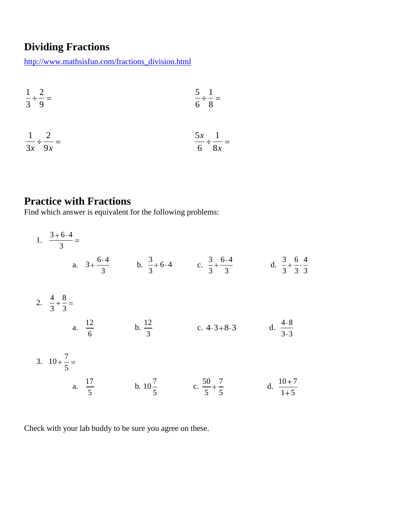# **Dividing Fractions**

[http://www.mathsisfun.com/fractions\\_division.html](http://www.mathsisfun.com/fractions_division.html)

$$
\frac{1}{3} \div \frac{2}{9} = \frac{5}{6} \div \frac{1}{8} =
$$

$$
\frac{1}{3x} \div \frac{2}{9x} = \frac{5x}{6} \div \frac{1}{8x} =
$$

# **Practice with Fractions**

Find which answer is equivalent for the following problems:

| 1. $\frac{3+6\cdot4}{3}$ =       |                                     |                                                                      |                                                                     |                                                  |
|----------------------------------|-------------------------------------|----------------------------------------------------------------------|---------------------------------------------------------------------|--------------------------------------------------|
|                                  | a. $3+\frac{6\cdot 4}{3}$           |                                                                      | b. $\frac{3}{3} + 6 \cdot 4$ c. $\frac{3}{3} + \frac{6 \cdot 4}{3}$ | d. $\frac{3}{3} + \frac{6}{3} \cdot \frac{4}{3}$ |
| 2. $\frac{4}{3} + \frac{8}{3} =$ |                                     |                                                                      |                                                                     |                                                  |
|                                  | a. $\frac{12}{6}$ b. $\frac{12}{3}$ |                                                                      | c. $4.3+8.3$                                                        | d. $\frac{4.8}{3.3}$                             |
| 3. $10 + \frac{7}{5} =$          |                                     |                                                                      |                                                                     |                                                  |
|                                  |                                     | a. $\frac{17}{5}$ b. $10\frac{7}{5}$ c. $\frac{50}{5} + \frac{7}{5}$ |                                                                     | d. $\frac{10+7}{1+5}$                            |

Check with your lab buddy to be sure you agree on these.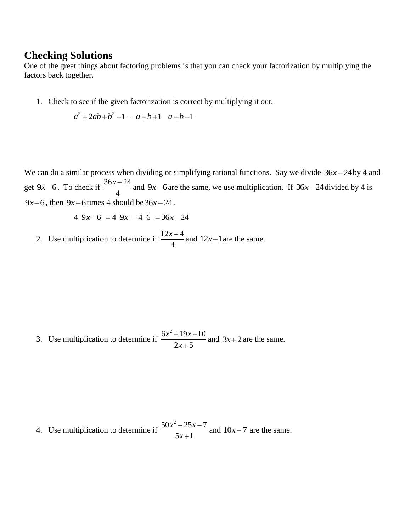#### **Checking Solutions**

One of the great things about factoring problems is that you can check your factorization by multiplying the factors back together.

1. Check to see if the given factorization is correct by multiplying it out.<br>  $a^2 + 2ab + b^2 - 1 = a + b + 1$   $a + b - 1$ 

$$
a^2 + 2ab + b^2 - 1 = a + b + 1 \quad a + b - 1
$$

We can do a similar process when dividing or simplifying rational functions. Say we divide  $36x - 24$  by 4 and get  $9x-6$ . To check if  $\frac{36x-24}{4}$ 4  $\frac{x-24}{4}$  and 9x–6 are the same, we use multiplication. If 36x–24 divided by 4 is 9x-6, then 9x-6 times 4 should be  $36x - 24$ .<br>4 9x-6 = 4 9x -4 6 =  $36x - 24$ 

$$
4\,9x-6\,=4\,9x\,-4\,6\,=36x-24
$$

2. Use multiplication to determine if  $\frac{12x-4}{1}$ 4  $\frac{x-4}{4}$  and  $12x-1$  are the same.

3. Use multiplication to determine if  $6x^2 + 19x + 10$  $2x + 5$  $x^2 + 19x$ *x* and  $3x+2$  are the same.

4. Use multiplication to determine if  $50x^2 - 25x - 7$  $5x + 1$  $x^2 - 25x$ *x* and  $10x - 7$  are the same.